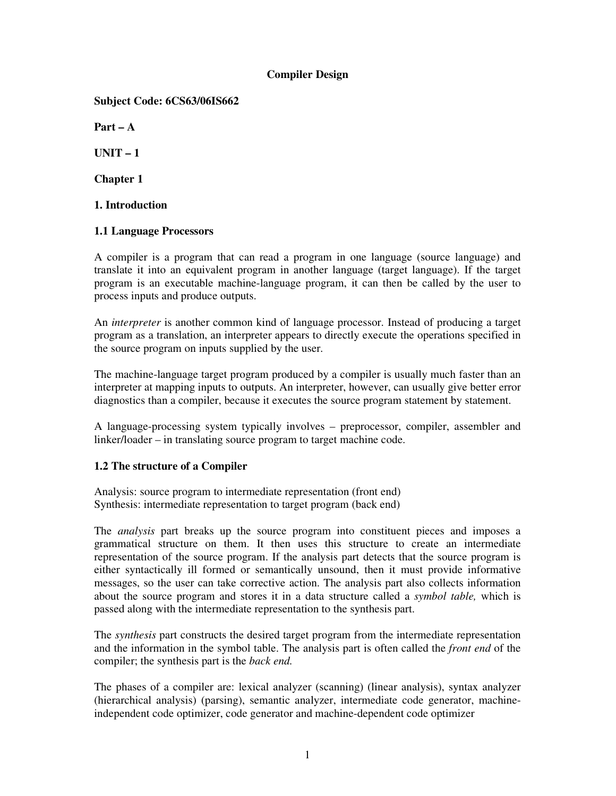## **Compiler Design**

**Subject Code: 6CS63/06IS662** 

**Part – A** 

**UNIT – 1** 

**Chapter 1** 

## **1. Introduction**

## **1.1 Language Processors**

A compiler is a program that can read a program in one language (source language) and translate it into an equivalent program in another language (target language). If the target program is an executable machine-language program, it can then be called by the user to process inputs and produce outputs.

An *interpreter* is another common kind of language processor. Instead of producing a target program as a translation, an interpreter appears to directly execute the operations specified in the source program on inputs supplied by the user.

The machine-language target program produced by a compiler is usually much faster than an interpreter at mapping inputs to outputs. An interpreter, however, can usually give better error diagnostics than a compiler, because it executes the source program statement by statement.

A language-processing system typically involves – preprocessor, compiler, assembler and linker/loader – in translating source program to target machine code.

# **1.2 The structure of a Compiler**

Analysis: source program to intermediate representation (front end) Synthesis: intermediate representation to target program (back end)

The *analysis* part breaks up the source program into constituent pieces and imposes a grammatical structure on them. It then uses this structure to create an intermediate representation of the source program. If the analysis part detects that the source program is either syntactically ill formed or semantically unsound, then it must provide informative messages, so the user can take corrective action. The analysis part also collects information about the source program and stores it in a data structure called a *symbol table,* which is passed along with the intermediate representation to the synthesis part.

The *synthesis* part constructs the desired target program from the intermediate representation and the information in the symbol table. The analysis part is often called the *front end* of the compiler; the synthesis part is the *back end.*

The phases of a compiler are: lexical analyzer (scanning) (linear analysis), syntax analyzer (hierarchical analysis) (parsing), semantic analyzer, intermediate code generator, machineindependent code optimizer, code generator and machine-dependent code optimizer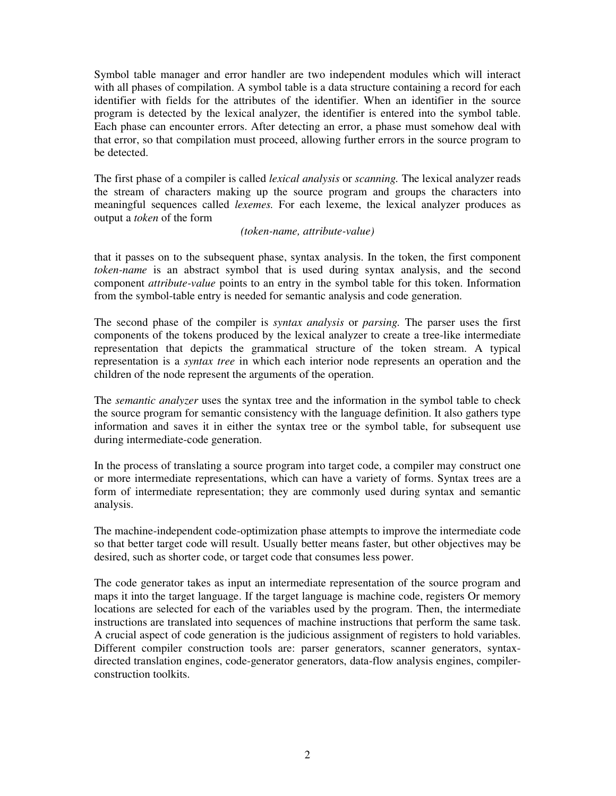Symbol table manager and error handler are two independent modules which will interact with all phases of compilation. A symbol table is a data structure containing a record for each identifier with fields for the attributes of the identifier. When an identifier in the source program is detected by the lexical analyzer, the identifier is entered into the symbol table. Each phase can encounter errors. After detecting an error, a phase must somehow deal with that error, so that compilation must proceed, allowing further errors in the source program to be detected.

The first phase of a compiler is called *lexical analysis* or *scanning.* The lexical analyzer reads the stream of characters making up the source program and groups the characters into meaningful sequences called *lexemes.* For each lexeme, the lexical analyzer produces as output a *token* of the form

### *(token-name, attribute-value)*

that it passes on to the subsequent phase, syntax analysis. In the token, the first component *token-name* is an abstract symbol that is used during syntax analysis, and the second component *attribute-value* points to an entry in the symbol table for this token. Information from the symbol-table entry is needed for semantic analysis and code generation.

The second phase of the compiler is *syntax analysis* or *parsing.* The parser uses the first components of the tokens produced by the lexical analyzer to create a tree-like intermediate representation that depicts the grammatical structure of the token stream. A typical representation is a *syntax tree* in which each interior node represents an operation and the children of the node represent the arguments of the operation.

The *semantic analyzer* uses the syntax tree and the information in the symbol table to check the source program for semantic consistency with the language definition. It also gathers type information and saves it in either the syntax tree or the symbol table, for subsequent use during intermediate-code generation.

In the process of translating a source program into target code, a compiler may construct one or more intermediate representations, which can have a variety of forms. Syntax trees are a form of intermediate representation; they are commonly used during syntax and semantic analysis.

The machine-independent code-optimization phase attempts to improve the intermediate code so that better target code will result. Usually better means faster, but other objectives may be desired, such as shorter code, or target code that consumes less power.

The code generator takes as input an intermediate representation of the source program and maps it into the target language. If the target language is machine code, registers Or memory locations are selected for each of the variables used by the program. Then, the intermediate instructions are translated into sequences of machine instructions that perform the same task. A crucial aspect of code generation is the judicious assignment of registers to hold variables. Different compiler construction tools are: parser generators, scanner generators, syntaxdirected translation engines, code-generator generators, data-flow analysis engines, compilerconstruction toolkits.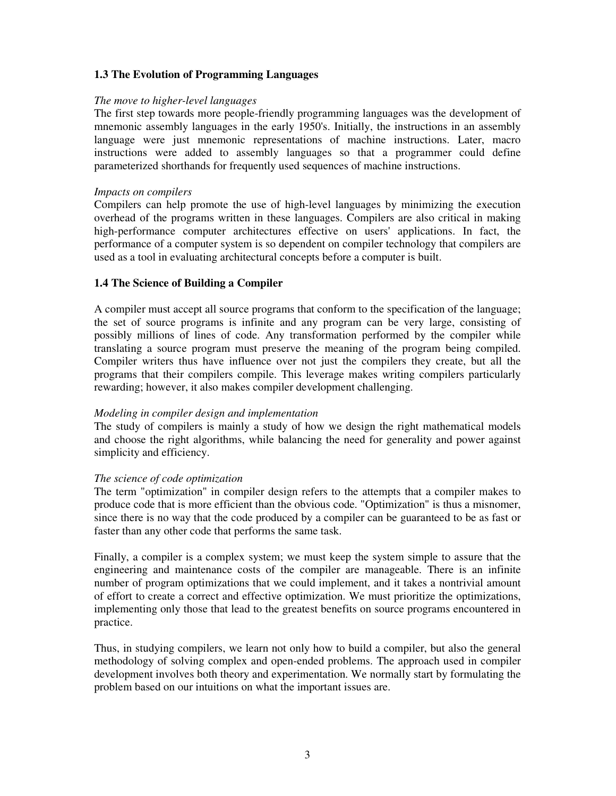## **1.3 The Evolution of Programming Languages**

### *The move to higher-level languages*

The first step towards more people-friendly programming languages was the development of mnemonic assembly languages in the early 1950's. Initially, the instructions in an assembly language were just mnemonic representations of machine instructions. Later, macro instructions were added to assembly languages so that a programmer could define parameterized shorthands for frequently used sequences of machine instructions.

## *Impacts on compilers*

Compilers can help promote the use of high-level languages by minimizing the execution overhead of the programs written in these languages. Compilers are also critical in making high-performance computer architectures effective on users' applications. In fact, the performance of a computer system is so dependent on compiler technology that compilers are used as a tool in evaluating architectural concepts before a computer is built.

## **1.4 The Science of Building a Compiler**

A compiler must accept all source programs that conform to the specification of the language; the set of source programs is infinite and any program can be very large, consisting of possibly millions of lines of code. Any transformation performed by the compiler while translating a source program must preserve the meaning of the program being compiled. Compiler writers thus have influence over not just the compilers they create, but all the programs that their compilers compile. This leverage makes writing compilers particularly rewarding; however, it also makes compiler development challenging.

## *Modeling in compiler design and implementation*

The study of compilers is mainly a study of how we design the right mathematical models and choose the right algorithms, while balancing the need for generality and power against simplicity and efficiency.

## *The science of code optimization*

The term "optimization" in compiler design refers to the attempts that a compiler makes to produce code that is more efficient than the obvious code. "Optimization" is thus a misnomer, since there is no way that the code produced by a compiler can be guaranteed to be as fast or faster than any other code that performs the same task.

Finally, a compiler is a complex system; we must keep the system simple to assure that the engineering and maintenance costs of the compiler are manageable. There is an infinite number of program optimizations that we could implement, and it takes a nontrivial amount of effort to create a correct and effective optimization. We must prioritize the optimizations, implementing only those that lead to the greatest benefits on source programs encountered in practice.

Thus, in studying compilers, we learn not only how to build a compiler, but also the general methodology of solving complex and open-ended problems. The approach used in compiler development involves both theory and experimentation. We normally start by formulating the problem based on our intuitions on what the important issues are.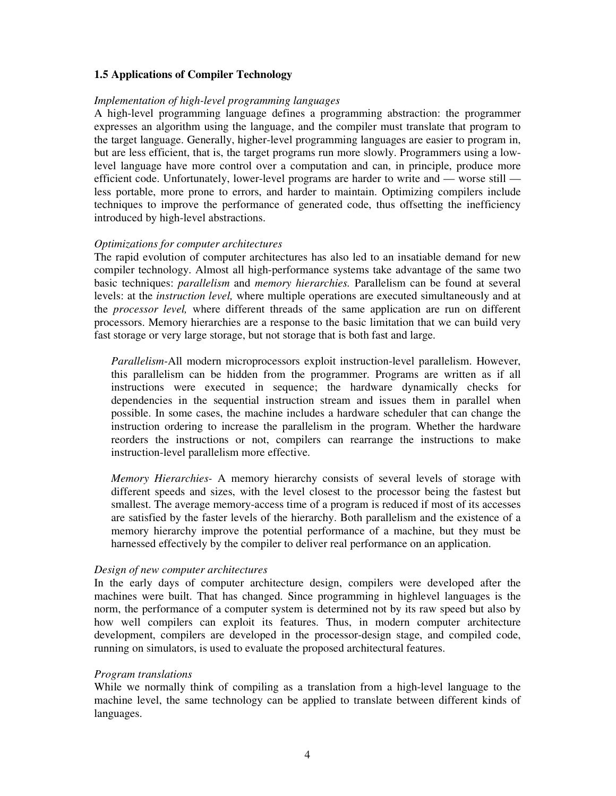## **1.5 Applications of Compiler Technology**

### *Implementation of high-level programming languages*

A high-level programming language defines a programming abstraction: the programmer expresses an algorithm using the language, and the compiler must translate that program to the target language. Generally, higher-level programming languages are easier to program in, but are less efficient, that is, the target programs run more slowly. Programmers using a lowlevel language have more control over a computation and can, in principle, produce more efficient code. Unfortunately, lower-level programs are harder to write and — worse still less portable, more prone to errors, and harder to maintain. Optimizing compilers include techniques to improve the performance of generated code, thus offsetting the inefficiency introduced by high-level abstractions.

## *Optimizations for computer architectures*

The rapid evolution of computer architectures has also led to an insatiable demand for new compiler technology. Almost all high-performance systems take advantage of the same two basic techniques: *parallelism* and *memory hierarchies.* Parallelism can be found at several levels: at the *instruction level,* where multiple operations are executed simultaneously and at the *processor level,* where different threads of the same application are run on different processors. Memory hierarchies are a response to the basic limitation that we can build very fast storage or very large storage, but not storage that is both fast and large.

*Parallelism-*All modern microprocessors exploit instruction-level parallelism. However, this parallelism can be hidden from the programmer. Programs are written as if all instructions were executed in sequence; the hardware dynamically checks for dependencies in the sequential instruction stream and issues them in parallel when possible. In some cases, the machine includes a hardware scheduler that can change the instruction ordering to increase the parallelism in the program. Whether the hardware reorders the instructions or not, compilers can rearrange the instructions to make instruction-level parallelism more effective.

*Memory Hierarchies-* A memory hierarchy consists of several levels of storage with different speeds and sizes, with the level closest to the processor being the fastest but smallest. The average memory-access time of a program is reduced if most of its accesses are satisfied by the faster levels of the hierarchy. Both parallelism and the existence of a memory hierarchy improve the potential performance of a machine, but they must be harnessed effectively by the compiler to deliver real performance on an application.

## *Design of new computer architectures*

In the early days of computer architecture design, compilers were developed after the machines were built. That has changed. Since programming in highlevel languages is the norm, the performance of a computer system is determined not by its raw speed but also by how well compilers can exploit its features. Thus, in modern computer architecture development, compilers are developed in the processor-design stage, and compiled code, running on simulators, is used to evaluate the proposed architectural features.

## *Program translations*

While we normally think of compiling as a translation from a high-level language to the machine level, the same technology can be applied to translate between different kinds of languages.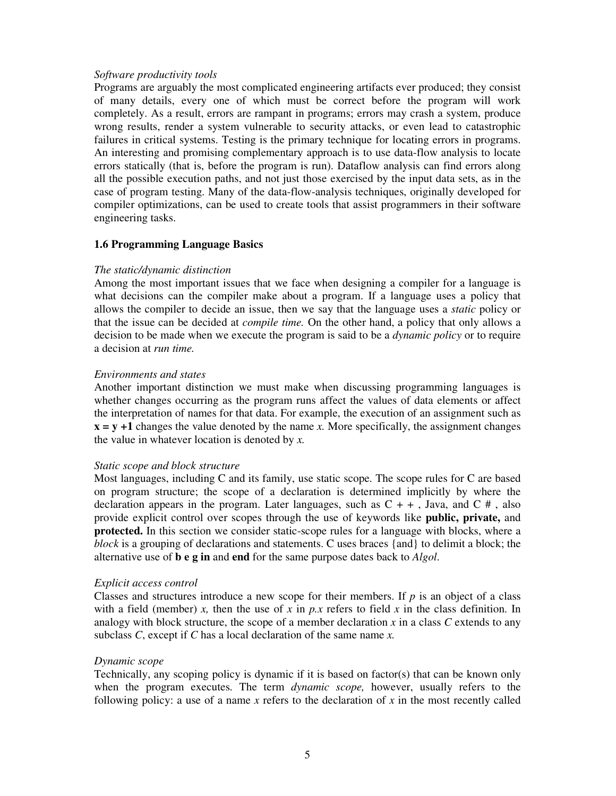#### *Software productivity tools*

Programs are arguably the most complicated engineering artifacts ever produced; they consist of many details, every one of which must be correct before the program will work completely. As a result, errors are rampant in programs; errors may crash a system, produce wrong results, render a system vulnerable to security attacks, or even lead to catastrophic failures in critical systems. Testing is the primary technique for locating errors in programs. An interesting and promising complementary approach is to use data-flow analysis to locate errors statically (that is, before the program is run). Dataflow analysis can find errors along all the possible execution paths, and not just those exercised by the input data sets, as in the case of program testing. Many of the data-flow-analysis techniques, originally developed for compiler optimizations, can be used to create tools that assist programmers in their software engineering tasks.

### **1.6 Programming Language Basics**

### *The static/dynamic distinction*

Among the most important issues that we face when designing a compiler for a language is what decisions can the compiler make about a program. If a language uses a policy that allows the compiler to decide an issue, then we say that the language uses a *static* policy or that the issue can be decided at *compile time.* On the other hand, a policy that only allows a decision to be made when we execute the program is said to be a *dynamic policy* or to require a decision at *run time.*

### *Environments and states*

Another important distinction we must make when discussing programming languages is whether changes occurring as the program runs affect the values of data elements or affect the interpretation of names for that data. For example, the execution of an assignment such as  $\mathbf{x} = \mathbf{v} + 1$  changes the value denoted by the name *x*. More specifically, the assignment changes the value in whatever location is denoted by *x.* 

### *Static scope and block structure*

Most languages, including C and its family, use static scope. The scope rules for C are based on program structure; the scope of a declaration is determined implicitly by where the declaration appears in the program. Later languages, such as  $C + +$ , Java, and  $C \#$ , also provide explicit control over scopes through the use of keywords like **public, private,** and **protected.** In this section we consider static-scope rules for a language with blocks, where a *block* is a grouping of declarations and statements. C uses braces {and} to delimit a block; the alternative use of **b e g in** and **end** for the same purpose dates back to *Algol*.

### *Explicit access control*

Classes and structures introduce a new scope for their members. If *p* is an object of a class with a field (member) *x*, then the use of *x* in *p.x* refers to field *x* in the class definition. In analogy with block structure, the scope of a member declaration *x* in a class *C* extends to any subclass *C*, except if *C* has a local declaration of the same name *x.*

### *Dynamic scope*

Technically, any scoping policy is dynamic if it is based on factor(s) that can be known only when the program executes. The term *dynamic scope,* however, usually refers to the following policy: a use of a name *x* refers to the declaration of *x* in the most recently called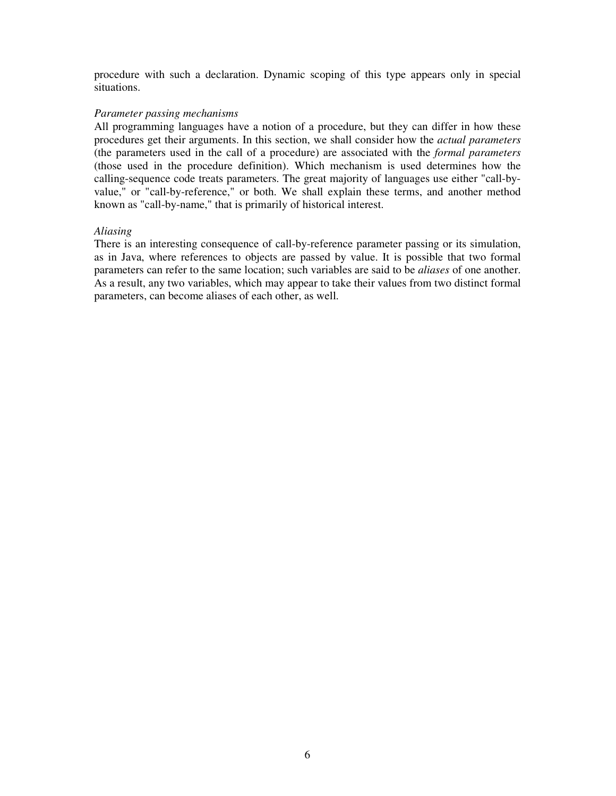procedure with such a declaration. Dynamic scoping of this type appears only in special situations.

### *Parameter passing mechanisms*

All programming languages have a notion of a procedure, but they can differ in how these procedures get their arguments. In this section, we shall consider how the *actual parameters*  (the parameters used in the call of a procedure) are associated with the *formal parameters*  (those used in the procedure definition). Which mechanism is used determines how the calling-sequence code treats parameters. The great majority of languages use either "call-byvalue," or "call-by-reference," or both. We shall explain these terms, and another method known as "call-by-name," that is primarily of historical interest.

## *Aliasing*

There is an interesting consequence of call-by-reference parameter passing or its simulation, as in Java, where references to objects are passed by value. It is possible that two formal parameters can refer to the same location; such variables are said to be *aliases* of one another. As a result, any two variables, which may appear to take their values from two distinct formal parameters, can become aliases of each other, as well.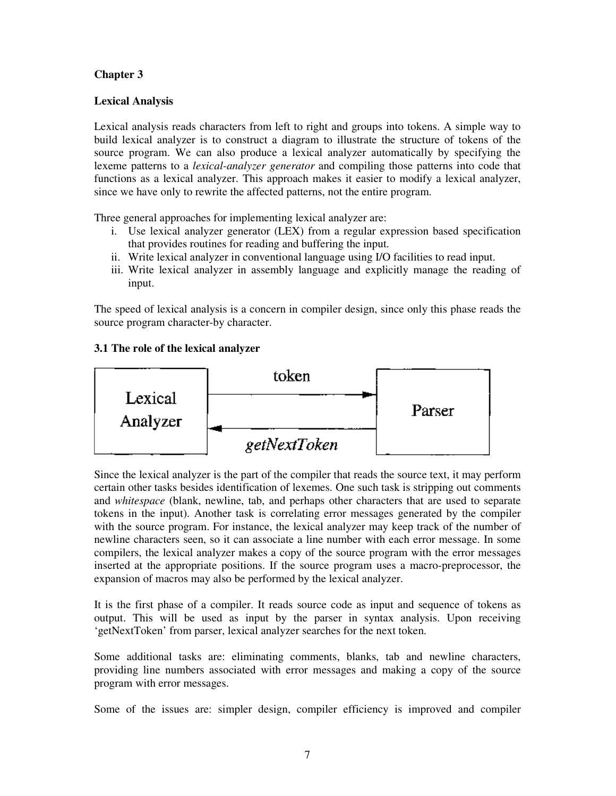# **Chapter 3**

## **Lexical Analysis**

Lexical analysis reads characters from left to right and groups into tokens. A simple way to build lexical analyzer is to construct a diagram to illustrate the structure of tokens of the source program. We can also produce a lexical analyzer automatically by specifying the lexeme patterns to a *lexical-analyzer generator* and compiling those patterns into code that functions as a lexical analyzer. This approach makes it easier to modify a lexical analyzer, since we have only to rewrite the affected patterns, not the entire program.

Three general approaches for implementing lexical analyzer are:

- i. Use lexical analyzer generator (LEX) from a regular expression based specification that provides routines for reading and buffering the input.
- ii. Write lexical analyzer in conventional language using I/O facilities to read input.
- iii. Write lexical analyzer in assembly language and explicitly manage the reading of input.

The speed of lexical analysis is a concern in compiler design, since only this phase reads the source program character-by character.

## **3.1 The role of the lexical analyzer**



Since the lexical analyzer is the part of the compiler that reads the source text, it may perform certain other tasks besides identification of lexemes. One such task is stripping out comments and *whitespace* (blank, newline, tab, and perhaps other characters that are used to separate tokens in the input). Another task is correlating error messages generated by the compiler with the source program. For instance, the lexical analyzer may keep track of the number of newline characters seen, so it can associate a line number with each error message. In some compilers, the lexical analyzer makes a copy of the source program with the error messages inserted at the appropriate positions. If the source program uses a macro-preprocessor, the expansion of macros may also be performed by the lexical analyzer.

It is the first phase of a compiler. It reads source code as input and sequence of tokens as output. This will be used as input by the parser in syntax analysis. Upon receiving 'getNextToken' from parser, lexical analyzer searches for the next token.

Some additional tasks are: eliminating comments, blanks, tab and newline characters, providing line numbers associated with error messages and making a copy of the source program with error messages.

Some of the issues are: simpler design, compiler efficiency is improved and compiler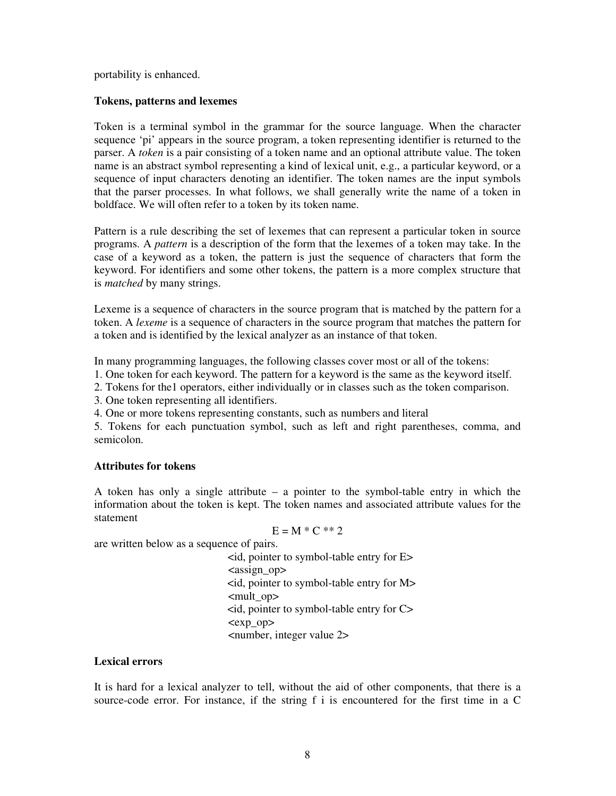portability is enhanced.

### **Tokens, patterns and lexemes**

Token is a terminal symbol in the grammar for the source language. When the character sequence 'pi' appears in the source program, a token representing identifier is returned to the parser. A *token* is a pair consisting of a token name and an optional attribute value. The token name is an abstract symbol representing a kind of lexical unit, e.g., a particular keyword, or a sequence of input characters denoting an identifier. The token names are the input symbols that the parser processes. In what follows, we shall generally write the name of a token in boldface. We will often refer to a token by its token name.

Pattern is a rule describing the set of lexemes that can represent a particular token in source programs. A *pattern* is a description of the form that the lexemes of a token may take. In the case of a keyword as a token, the pattern is just the sequence of characters that form the keyword. For identifiers and some other tokens, the pattern is a more complex structure that is *matched* by many strings.

Lexeme is a sequence of characters in the source program that is matched by the pattern for a token. A *lexeme* is a sequence of characters in the source program that matches the pattern for a token and is identified by the lexical analyzer as an instance of that token.

In many programming languages, the following classes cover most or all of the tokens:

1. One token for each keyword. The pattern for a keyword is the same as the keyword itself.

2. Tokens for the1 operators, either individually or in classes such as the token comparison.

3. One token representing all identifiers.

4. One or more tokens representing constants, such as numbers and literal

5. Tokens for each punctuation symbol, such as left and right parentheses, comma, and semicolon.

## **Attributes for tokens**

A token has only a single attribute – a pointer to the symbol-table entry in which the information about the token is kept. The token names and associated attribute values for the statement

$$
E = M * C ** 2
$$

are written below as a sequence of pairs.

 $\leq$ id, pointer to symbol-table entry for E $>$ <assign\_op>  $\le$ id, pointer to symbol-table entry for M $>$ <mult\_op>  $\le$ id, pointer to symbol-table entry for C $>$ <exp\_op> <number, integer value 2>

## **Lexical errors**

It is hard for a lexical analyzer to tell, without the aid of other components, that there is a source-code error. For instance, if the string f i is encountered for the first time in a C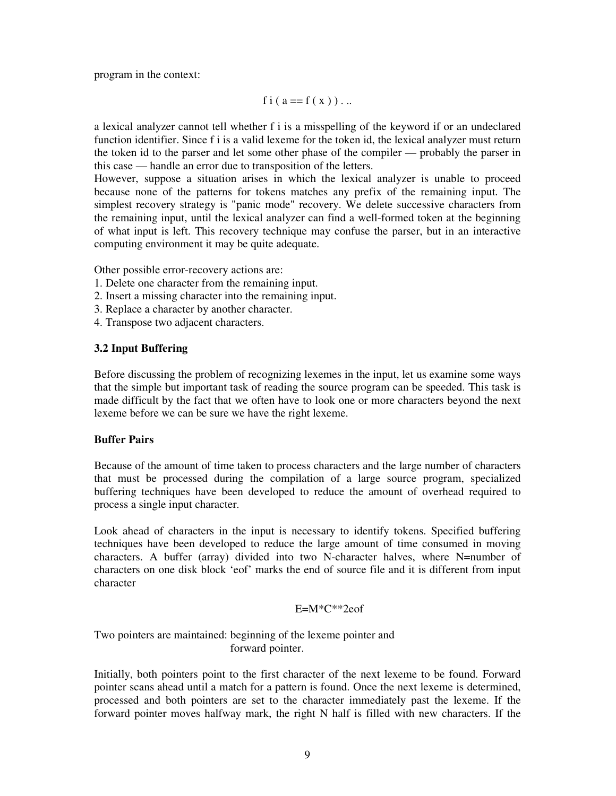program in the context:

$$
fi\left(\ a==f\left(\ x\ \right)\ \right)\ \ldots
$$

a lexical analyzer cannot tell whether f i is a misspelling of the keyword if or an undeclared function identifier. Since f i is a valid lexeme for the token id, the lexical analyzer must return the token id to the parser and let some other phase of the compiler — probably the parser in this case — handle an error due to transposition of the letters.

However, suppose a situation arises in which the lexical analyzer is unable to proceed because none of the patterns for tokens matches any prefix of the remaining input. The simplest recovery strategy is "panic mode" recovery. We delete successive characters from the remaining input, until the lexical analyzer can find a well-formed token at the beginning of what input is left. This recovery technique may confuse the parser, but in an interactive computing environment it may be quite adequate.

Other possible error-recovery actions are:

- 1. Delete one character from the remaining input.
- 2. Insert a missing character into the remaining input.
- 3. Replace a character by another character.
- 4. Transpose two adjacent characters.

## **3.2 Input Buffering**

Before discussing the problem of recognizing lexemes in the input, let us examine some ways that the simple but important task of reading the source program can be speeded. This task is made difficult by the fact that we often have to look one or more characters beyond the next lexeme before we can be sure we have the right lexeme.

## **Buffer Pairs**

Because of the amount of time taken to process characters and the large number of characters that must be processed during the compilation of a large source program, specialized buffering techniques have been developed to reduce the amount of overhead required to process a single input character.

Look ahead of characters in the input is necessary to identify tokens. Specified buffering techniques have been developed to reduce the large amount of time consumed in moving characters. A buffer (array) divided into two N-character halves, where N=number of characters on one disk block 'eof' marks the end of source file and it is different from input character

## E=M\*C\*\*2eof

Two pointers are maintained: beginning of the lexeme pointer and forward pointer.

Initially, both pointers point to the first character of the next lexeme to be found. Forward pointer scans ahead until a match for a pattern is found. Once the next lexeme is determined, processed and both pointers are set to the character immediately past the lexeme. If the forward pointer moves halfway mark, the right N half is filled with new characters. If the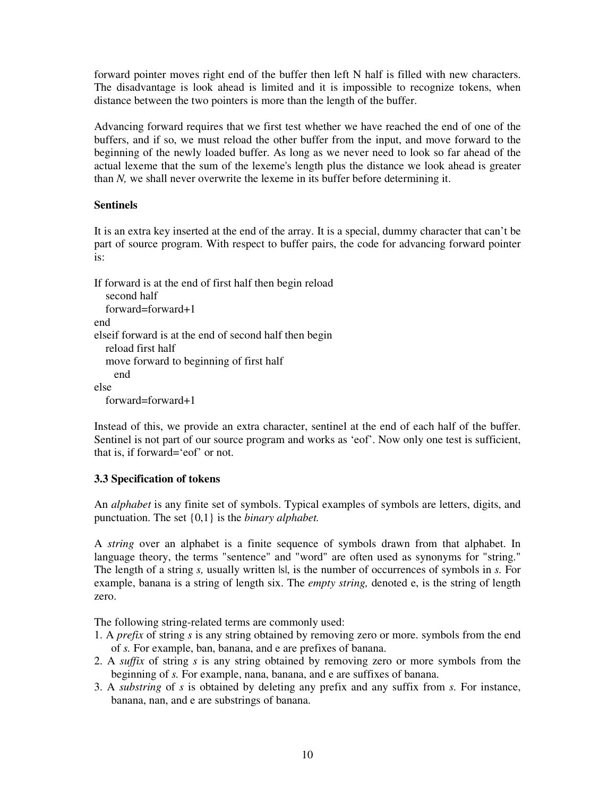forward pointer moves right end of the buffer then left N half is filled with new characters. The disadvantage is look ahead is limited and it is impossible to recognize tokens, when distance between the two pointers is more than the length of the buffer.

Advancing forward requires that we first test whether we have reached the end of one of the buffers, and if so, we must reload the other buffer from the input, and move forward to the beginning of the newly loaded buffer. As long as we never need to look so far ahead of the actual lexeme that the sum of the lexeme's length plus the distance we look ahead is greater than *N,* we shall never overwrite the lexeme in its buffer before determining it.

# **Sentinels**

It is an extra key inserted at the end of the array. It is a special, dummy character that can't be part of source program. With respect to buffer pairs, the code for advancing forward pointer is:

```
If forward is at the end of first half then begin reload 
   second half 
   forward=forward+1 
end 
elseif forward is at the end of second half then begin 
   reload first half 
   move forward to beginning of first half 
     end 
else 
   forward=forward+1
```
Instead of this, we provide an extra character, sentinel at the end of each half of the buffer. Sentinel is not part of our source program and works as 'eof'. Now only one test is sufficient, that is, if forward='eof' or not.

# **3.3 Specification of tokens**

An *alphabet* is any finite set of symbols. Typical examples of symbols are letters, digits, and punctuation. The set {0,1} is the *binary alphabet.* 

A *string* over an alphabet is a finite sequence of symbols drawn from that alphabet. In language theory, the terms "sentence" and "word" are often used as synonyms for "string." The length of a string *s*, usually written |s|, is the number of occurrences of symbols in *s*. For example, banana is a string of length six. The *empty string,* denoted e, is the string of length zero.

The following string-related terms are commonly used:

- 1. A *prefix* of string *s* is any string obtained by removing zero or more. symbols from the end of *s.* For example, ban, banana, and e are prefixes of banana.
- 2. A *suffix* of string *s* is any string obtained by removing zero or more symbols from the beginning of *s.* For example, nana, banana, and e are suffixes of banana.
- 3. A *substring* of *s* is obtained by deleting any prefix and any suffix from *s.* For instance, banana, nan, and e are substrings of banana.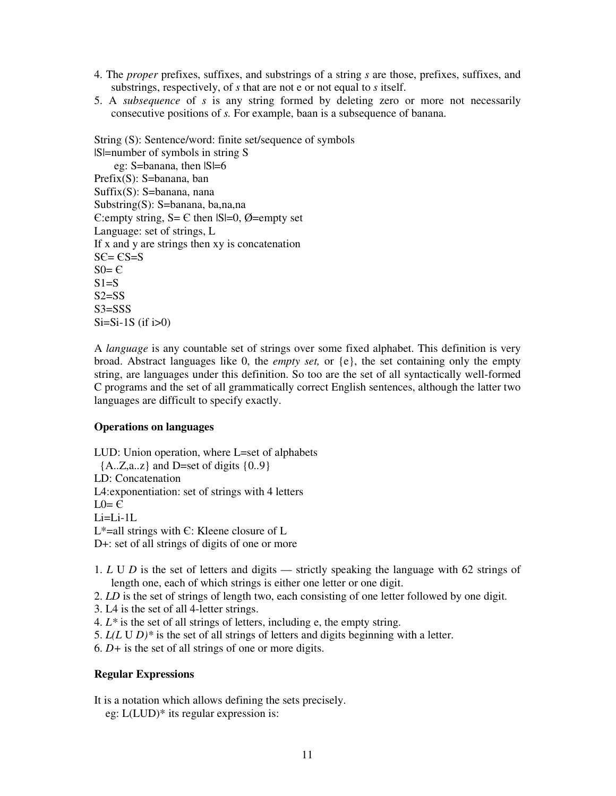- 4. The *proper* prefixes, suffixes, and substrings of a string *s* are those, prefixes, suffixes, and substrings, respectively, of *s* that are not e or not equal to *s* itself.
- 5. A *subsequence* of *s* is any string formed by deleting zero or more not necessarily consecutive positions of *s.* For example, baan is a subsequence of banana.

String (S): Sentence/word: finite set/sequence of symbols |S|=number of symbols in string S eg: S=banana, then |S|=6 Prefix(S): S=banana, ban Suffix(S): S=banana, nana Substring(S): S=banana, ba,na,na C: empty string,  $S = C$  then  $|S| = 0$ ,  $\emptyset$  = empty set Language: set of strings, L If x and y are strings then xy is concatenation  $SE = ES = S$  $S0= E$  $S1=S$  $S2 = SS$ S3=SSS  $Si=Si-1S$  (if  $i>0$ )

A *language* is any countable set of strings over some fixed alphabet. This definition is very broad. Abstract languages like 0, the *empty set,* or {e}, the set containing only the empty string, are languages under this definition. So too are the set of all syntactically well-formed C programs and the set of all grammatically correct English sentences, although the latter two languages are difficult to specify exactly.

### **Operations on languages**

LUD: Union operation, where L=set of alphabets

 ${A..Z,a..z}$  and D=set of digits  ${0..9}$ LD: Concatenation L4:exponentiation: set of strings with 4 letters  $L0=E$ Li=Li-1L L\*=all strings with  $\mathbb{C}$ : Kleene closure of L D+: set of all strings of digits of one or more

- 1. *L* U *D* is the set of letters and digits strictly speaking the language with 62 strings of length one, each of which strings is either one letter or one digit.
- 2. *LD* is the set of strings of length two, each consisting of one letter followed by one digit.
- 3. L4 is the set of all 4-letter strings.
- 4. *L\** is the set of all strings of letters, including e, the empty string.
- 5. *L(L* U *D)\** is the set of all strings of letters and digits beginning with a letter.
- 6. *D+* is the set of all strings of one or more digits.

# **Regular Expressions**

It is a notation which allows defining the sets precisely. eg: L(LUD)\* its regular expression is: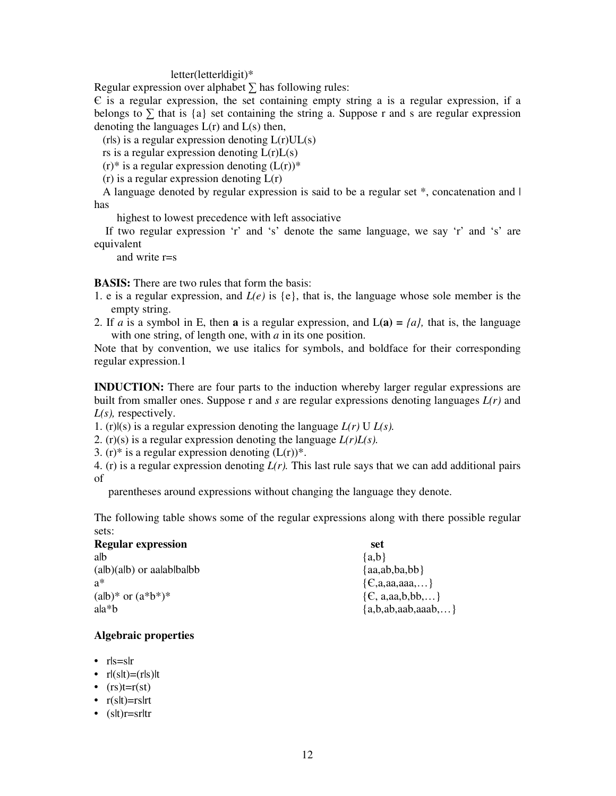letter(letter|digit)\*

Regular expression over alphabet  $\sum$  has following rules:

 $\epsilon$  is a regular expression, the set containing empty string a is a regular expression, if a belongs to  $\Sigma$  that is {a} set containing the string a. Suppose r and s are regular expression denoting the languages  $L(r)$  and  $L(s)$  then,

 $(r|s)$  is a regular expression denoting  $L(r)UL(s)$ 

rs is a regular expression denoting  $L(r)L(s)$ 

 $(r)^*$  is a regular expression denoting  $(L(r))^*$ 

 $(r)$  is a regular expression denoting  $L(r)$ 

A language denoted by regular expression is said to be a regular set  $*$ , concatenation and  $\mathsf{l}$ has

highest to lowest precedence with left associative

 If two regular expression 'r' and 's' denote the same language, we say 'r' and 's' are equivalent

and write r=s

**BASIS:** There are two rules that form the basis:

- 1. e is a regular expression, and  $L(e)$  is  $\{e\}$ , that is, the language whose sole member is the empty string.
- 2. If *a* is a symbol in E, then **a** is a regular expression, and  $L(a) = \{a\}$ , that is, the language with one string, of length one, with *a* in its one position.

Note that by convention, we use italics for symbols, and boldface for their corresponding regular expression.1

**INDUCTION:** There are four parts to the induction whereby larger regular expressions are built from smaller ones. Suppose r and *s* are regular expressions denoting languages *L(r)* and *L(s),* respectively.

1. (r) $|(s)$  is a regular expression denoting the language  $L(r) U L(s)$ .

2. (r)(s) is a regular expression denoting the language  $L(r)L(s)$ .

3. (r)\* is a regular expression denoting  $(L(r))^*$ .

4. (r) is a regular expression denoting *L(r).* This last rule says that we can add additional pairs of

parentheses around expressions without changing the language they denote.

The following table shows some of the regular expressions along with there possible regular sets:

| set                          |
|------------------------------|
| ${a,b}$                      |
| ${aa, ab, ba, bb}$           |
| $\{C, a, aa, aaa, \dots\}$   |
| $\{C, a, aa, b, bb, \dots\}$ |
| ${a,b,ab,aa}$ , aa $b,$      |
|                              |

## **Algebraic properties**

- $\cdot$  r|s=s|r
- $r|(s|t)=(r|s)|t$
- $(rs)$ t=r(st)
- $r(s|t)=r s|r t$
- $(s|t)$ r=sr $|tr$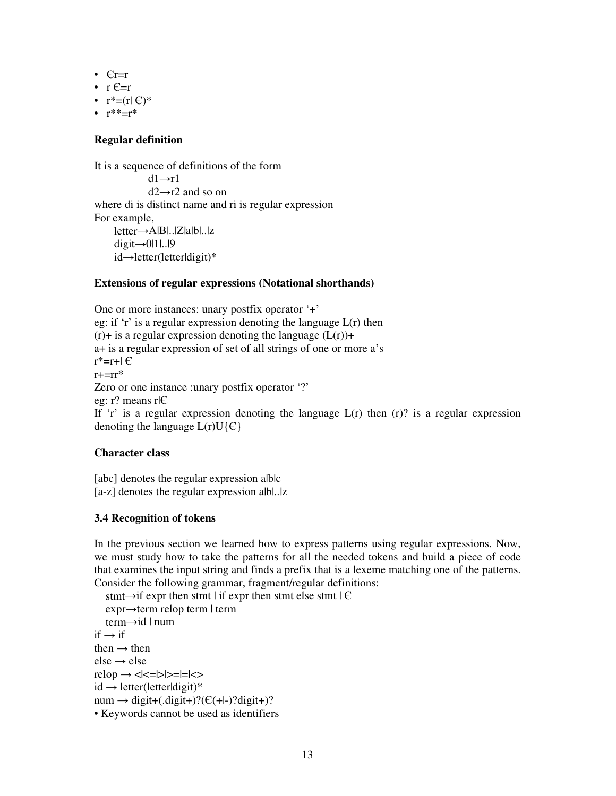- $Er=r$
- $r \in \mathbb{F}$
- $r^* = (r | E)^*$
- $r^{**}=r^*$

# **Regular definition**

It is a sequence of definitions of the form  $d1\rightarrow r1$  $d2\rightarrow r2$  and so on where di is distinct name and ri is regular expression For example, letter→A|B|..|Z|a|b|..|z digit $\rightarrow$ 0|1|..|9 id→letter(letter|digit)\*

# **Extensions of regular expressions (Notational shorthands)**

One or more instances: unary postfix operator '+' eg: if 'r' is a regular expression denoting the language L(r) then  $(r)$ + is a regular expression denoting the language  $(L(r))$ + a+ is a regular expression of set of all strings of one or more a's  $r^*$ =r+l  $\epsilon$ r+=rr\* Zero or one instance :unary postfix operator '?' eg: r? means r|Є If 'r' is a regular expression denoting the language  $L(r)$  then  $(r)$ ? is a regular expression denoting the language  $L(r)U\{\in\}$ 

# **Character class**

[abc] denotes the regular expression alble [a-z] denotes the regular expression albl...|z

# **3.4 Recognition of tokens**

In the previous section we learned how to express patterns using regular expressions. Now, we must study how to take the patterns for all the needed tokens and build a piece of code that examines the input string and finds a prefix that is a lexeme matching one of the patterns. Consider the following grammar, fragment/regular definitions:

```
stmt\rightarrowif expr then stmt | if expr then stmt else stmt | \epsilon expr→term relop term | term
    term→id | num
if \rightarrow ifthen \rightarrow then
else \rightarrow elserelop \rightarrow \langle \langle \langle = | \rangle | \rangle = | = | \langle \rangleid \rightarrow letter(leftterldigit)*num \rightarrow digit+(.digit+)?(C(+/-)? digit+)?• Keywords cannot be used as identifiers
```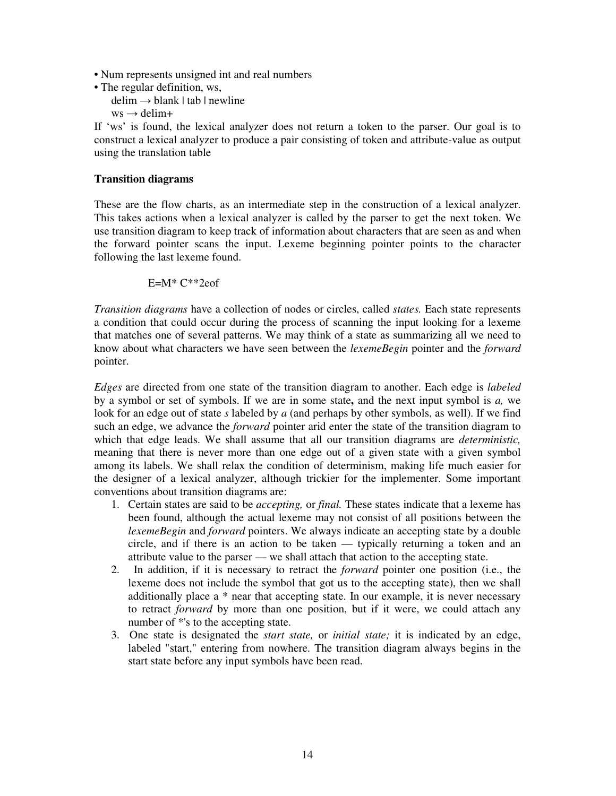- Num represents unsigned int and real numbers
- The regular definition, ws,
	- $delim \rightarrow blank$  | tab | newline

 $ws \rightarrow$  delim+

If 'ws' is found, the lexical analyzer does not return a token to the parser. Our goal is to construct a lexical analyzer to produce a pair consisting of token and attribute-value as output using the translation table

## **Transition diagrams**

These are the flow charts, as an intermediate step in the construction of a lexical analyzer. This takes actions when a lexical analyzer is called by the parser to get the next token. We use transition diagram to keep track of information about characters that are seen as and when the forward pointer scans the input. Lexeme beginning pointer points to the character following the last lexeme found.

E=M\* C\*\*2eof

*Transition diagrams* have a collection of nodes or circles, called *states.* Each state represents a condition that could occur during the process of scanning the input looking for a lexeme that matches one of several patterns. We may think of a state as summarizing all we need to know about what characters we have seen between the *lexemeBegin* pointer and the *forward*  pointer.

*Edges* are directed from one state of the transition diagram to another. Each edge is *labeled*  by a symbol or set of symbols. If we are in some state**,** and the next input symbol is *a,* we look for an edge out of state *s* labeled by *a* (and perhaps by other symbols, as well). If we find such an edge, we advance the *forward* pointer arid enter the state of the transition diagram to which that edge leads. We shall assume that all our transition diagrams are *deterministic,*  meaning that there is never more than one edge out of a given state with a given symbol among its labels. We shall relax the condition of determinism, making life much easier for the designer of a lexical analyzer, although trickier for the implementer. Some important conventions about transition diagrams are:

- 1. Certain states are said to be *accepting,* or *final.* These states indicate that a lexeme has been found, although the actual lexeme may not consist of all positions between the *lexemeBegin* and *forward* pointers. We always indicate an accepting state by a double circle, and if there is an action to be taken — typically returning a token and an attribute value to the parser — we shall attach that action to the accepting state.
- 2. In addition, if it is necessary to retract the *forward* pointer one position (i.e., the lexeme does not include the symbol that got us to the accepting state), then we shall additionally place a \* near that accepting state. In our example, it is never necessary to retract *forward* by more than one position, but if it were, we could attach any number of \*'s to the accepting state.
- 3. One state is designated the *start state,* or *initial state;* it is indicated by an edge, labeled "start," entering from nowhere. The transition diagram always begins in the start state before any input symbols have been read.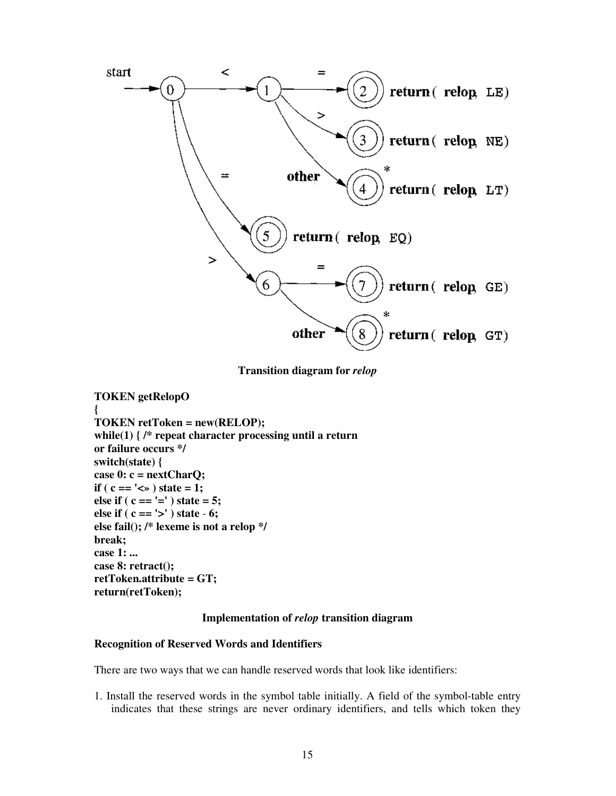

## **Implementation of** *relop* **transition diagram**

### **Recognition of Reserved Words and Identifiers**

There are two ways that we can handle reserved words that look like identifiers:

1. Install the reserved words in the symbol table initially. A field of the symbol-table entry indicates that these strings are never ordinary identifiers, and tells which token they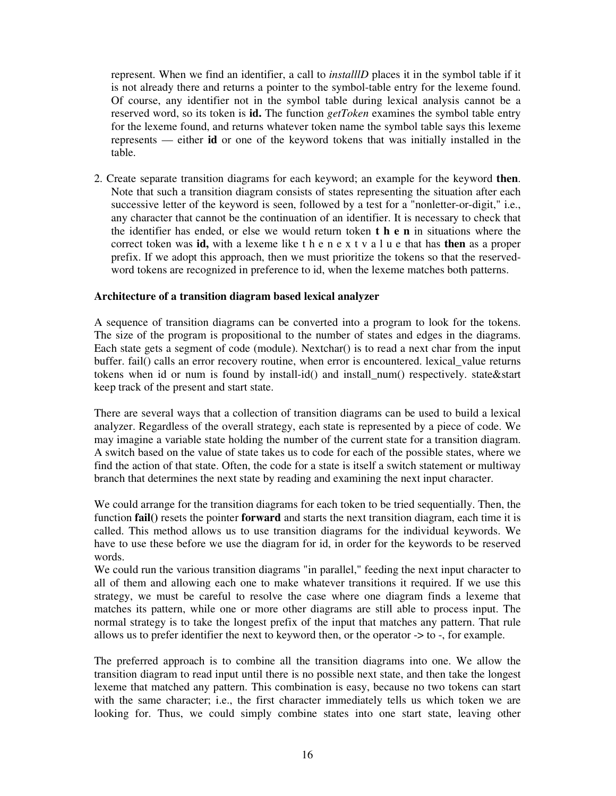represent. When we find an identifier, a call to *installlD* places it in the symbol table if it is not already there and returns a pointer to the symbol-table entry for the lexeme found. Of course, any identifier not in the symbol table during lexical analysis cannot be a reserved word, so its token is **id.** The function *getToken* examines the symbol table entry for the lexeme found, and returns whatever token name the symbol table says this lexeme represents — either **id** or one of the keyword tokens that was initially installed in the table.

2. Create separate transition diagrams for each keyword; an example for the keyword **then**. Note that such a transition diagram consists of states representing the situation after each successive letter of the keyword is seen, followed by a test for a "nonletter-or-digit," i.e., any character that cannot be the continuation of an identifier. It is necessary to check that the identifier has ended, or else we would return token **t h e n** in situations where the correct token was **id,** with a lexeme like t h e n e x t v a l u e that has **then** as a proper prefix. If we adopt this approach, then we must prioritize the tokens so that the reservedword tokens are recognized in preference to id, when the lexeme matches both patterns.

## **Architecture of a transition diagram based lexical analyzer**

A sequence of transition diagrams can be converted into a program to look for the tokens. The size of the program is propositional to the number of states and edges in the diagrams. Each state gets a segment of code (module). Nextchar() is to read a next char from the input buffer. fail() calls an error recovery routine, when error is encountered. lexical value returns tokens when id or num is found by install-id() and install\_num() respectively. state&start keep track of the present and start state.

There are several ways that a collection of transition diagrams can be used to build a lexical analyzer. Regardless of the overall strategy, each state is represented by a piece of code. We may imagine a variable state holding the number of the current state for a transition diagram. A switch based on the value of state takes us to code for each of the possible states, where we find the action of that state. Often, the code for a state is itself a switch statement or multiway branch that determines the next state by reading and examining the next input character.

We could arrange for the transition diagrams for each token to be tried sequentially. Then, the function **fail()** resets the pointer **forward** and starts the next transition diagram, each time it is called. This method allows us to use transition diagrams for the individual keywords. We have to use these before we use the diagram for id, in order for the keywords to be reserved words.

We could run the various transition diagrams "in parallel," feeding the next input character to all of them and allowing each one to make whatever transitions it required. If we use this strategy, we must be careful to resolve the case where one diagram finds a lexeme that matches its pattern, while one or more other diagrams are still able to process input. The normal strategy is to take the longest prefix of the input that matches any pattern. That rule allows us to prefer identifier the next to keyword then, or the operator -> to -, for example.

The preferred approach is to combine all the transition diagrams into one. We allow the transition diagram to read input until there is no possible next state, and then take the longest lexeme that matched any pattern. This combination is easy, because no two tokens can start with the same character; i.e., the first character immediately tells us which token we are looking for. Thus, we could simply combine states into one start state, leaving other